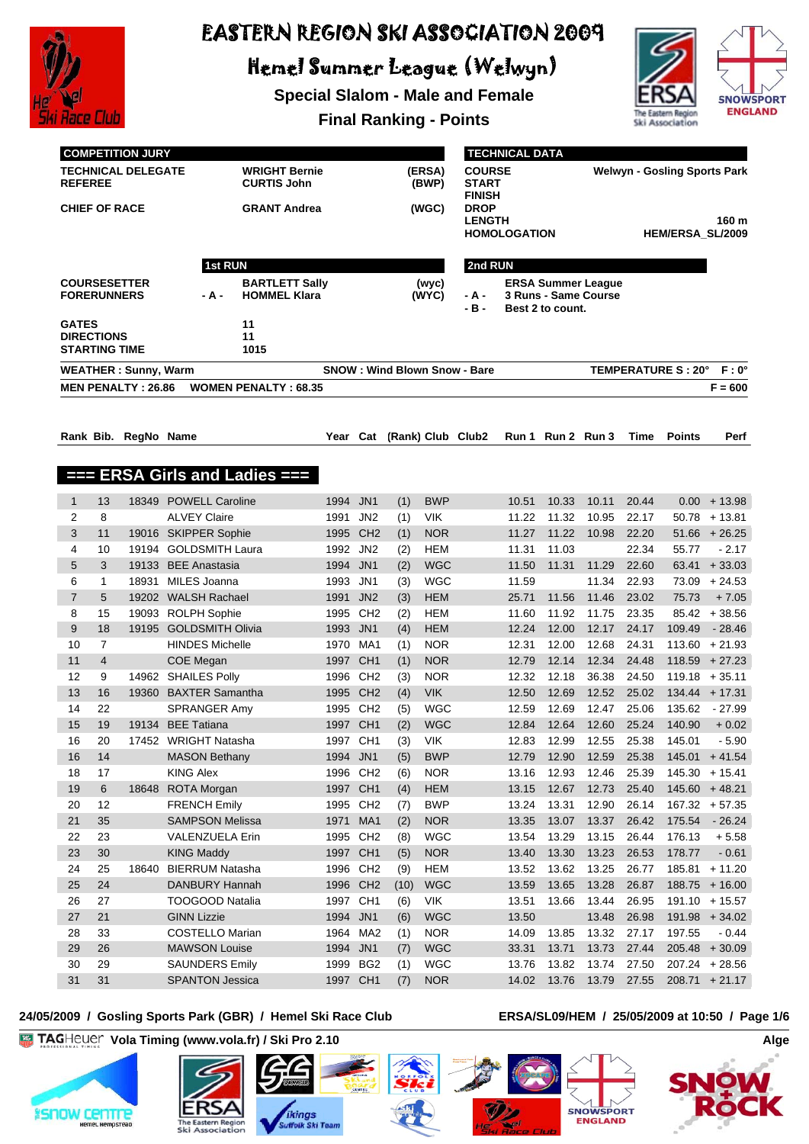

Hemel Summer League (Welwyn)

**Special Slalom - Male and Female**



**Final Ranking - Points**

|                | <b>COMPETITION JURY</b><br><b>TECHNICAL DELEGATE</b><br><b>REFEREE</b><br><b>CHIEF OF RACE</b><br>1st RUN |                             |                        | <b>WRIGHT Bernie</b><br>(ERSA)<br><b>CURTIS John</b><br>(BWP)<br><b>GRANT Andrea</b><br>(WGC) |          |                 |      |                | <b>TECHNICAL DATA</b><br><b>COURSE</b><br><b>START</b><br><b>FINISH</b><br><b>DROP</b><br><b>LENGTH</b><br><b>HOMOLOGATION</b> |       |                   | <b>Welwyn - Gosling Sports Park</b><br>160 m<br><b>HEM/ERSA SL/2009</b> |       |                                            |                  |
|----------------|-----------------------------------------------------------------------------------------------------------|-----------------------------|------------------------|-----------------------------------------------------------------------------------------------|----------|-----------------|------|----------------|--------------------------------------------------------------------------------------------------------------------------------|-------|-------------------|-------------------------------------------------------------------------|-------|--------------------------------------------|------------------|
|                |                                                                                                           |                             |                        |                                                                                               |          |                 |      |                | 2nd RUN                                                                                                                        |       |                   |                                                                         |       |                                            |                  |
|                | <b>FORERUNNERS</b>                                                                                        | <b>COURSESETTER</b>         | - A -                  | <b>BARTLETT Sally</b><br><b>HOMMEL Klara</b>                                                  |          |                 |      | (wyc)<br>(WYC) | - A -<br>$-B -$                                                                                                                |       | Best 2 to count.  | <b>ERSA Summer League</b><br>3 Runs - Same Course                       |       |                                            |                  |
| <b>GATES</b>   | <b>DIRECTIONS</b><br><b>STARTING TIME</b>                                                                 |                             |                        | 11<br>11<br>1015                                                                              |          |                 |      |                |                                                                                                                                |       |                   |                                                                         |       |                                            |                  |
|                |                                                                                                           | <b>WEATHER: Sunny, Warm</b> |                        |                                                                                               |          |                 |      |                | <b>SNOW: Wind Blown Snow - Bare</b>                                                                                            |       |                   |                                                                         |       | TEMPERATURE S: 20° F: 0°                   |                  |
|                |                                                                                                           | <b>MEN PENALTY: 26.86</b>   |                        | <b>WOMEN PENALTY: 68.35</b>                                                                   |          |                 |      |                |                                                                                                                                |       |                   |                                                                         |       |                                            | $F = 600$        |
|                |                                                                                                           | Rank Bib. RegNo Name        |                        |                                                                                               | Year Cat |                 |      |                | (Rank) Club Club2                                                                                                              |       | Run 1 Run 2 Run 3 |                                                                         | Time  | <b>Points</b>                              | Perf             |
| ł              |                                                                                                           |                             |                        | <b>ERSA Girls and Ladies ===</b>                                                              |          |                 |      |                |                                                                                                                                |       |                   |                                                                         |       |                                            |                  |
| $\mathbf{1}$   | 13                                                                                                        |                             | 18349 POWELL Caroline  |                                                                                               | 1994 JN1 |                 | (1)  | <b>BWP</b>     |                                                                                                                                | 10.51 | 10.33             | 10.11                                                                   | 20.44 |                                            | $0.00 + 13.98$   |
| $\overline{2}$ | 8                                                                                                         |                             | <b>ALVEY Claire</b>    |                                                                                               | 1991     | JN <sub>2</sub> | (1)  | VIK            |                                                                                                                                | 11.22 | 11.32             | 10.95                                                                   | 22.17 |                                            | $50.78 + 13.81$  |
| 3              | 11                                                                                                        |                             | 19016 SKIPPER Sophie   |                                                                                               |          | 1995 CH2        | (1)  | <b>NOR</b>     |                                                                                                                                | 11.27 | 11.22             | 10.98                                                                   | 22.20 |                                            | $51.66 + 26.25$  |
| $\overline{4}$ | 10                                                                                                        |                             | 19194 GOLDSMITH Laura  |                                                                                               | 1992     | JN2             | (2)  | <b>HEM</b>     |                                                                                                                                | 11.31 | 11.03             |                                                                         | 22.34 | 55.77                                      | $-2.17$          |
| 5              | 3                                                                                                         | 19133                       | <b>BEE Anastasia</b>   |                                                                                               | 1994     | JN <sub>1</sub> | (2)  | <b>WGC</b>     |                                                                                                                                | 11.50 | 11.31             | 11.29                                                                   | 22.60 | 63.41                                      | $+33.03$         |
| 6              | 1                                                                                                         | 18931                       | MILES Joanna           |                                                                                               | 1993     | JN1             | (3)  | <b>WGC</b>     |                                                                                                                                | 11.59 |                   | 11.34                                                                   | 22.93 | 73.09                                      | $+24.53$         |
| $\overline{7}$ | 5                                                                                                         |                             | 19202 WALSH Rachael    |                                                                                               | 1991     | JN <sub>2</sub> | (3)  | <b>HEM</b>     |                                                                                                                                | 25.71 | 11.56             | 11.46                                                                   | 23.02 | 75.73                                      | $+7.05$          |
| 8              | 15                                                                                                        |                             | 19093 ROLPH Sophie     |                                                                                               | 1995     | CH <sub>2</sub> | (2)  | <b>HEM</b>     |                                                                                                                                | 11.60 | 11.92             | 11.75                                                                   | 23.35 |                                            | $85.42 + 38.56$  |
| 9              | 18                                                                                                        |                             | 19195 GOLDSMITH Olivia |                                                                                               | 1993     | JN <sub>1</sub> | (4)  | <b>HEM</b>     |                                                                                                                                | 12.24 | 12.00             | 12.17                                                                   | 24.17 | 109.49                                     | $-28.46$         |
| 10             | $\overline{7}$                                                                                            |                             | <b>HINDES Michelle</b> |                                                                                               |          | 1970 MA1        | (1)  | <b>NOR</b>     |                                                                                                                                | 12.31 | 12.00             | 12.68                                                                   | 24.31 |                                            | $113.60 + 21.93$ |
| 11             | $\overline{4}$                                                                                            |                             | COE Megan              |                                                                                               |          | 1997 CH1        | (1)  | <b>NOR</b>     |                                                                                                                                | 12.79 | 12.14             | 12.34                                                                   | 24.48 |                                            | $118.59 + 27.23$ |
| 12             | 9                                                                                                         |                             | 14962 SHAILES Polly    |                                                                                               |          | 1996 CH2        | (3)  | <b>NOR</b>     |                                                                                                                                | 12.32 | 12.18             | 36.38                                                                   | 24.50 |                                            | $119.18 + 35.11$ |
| 13             | 16                                                                                                        |                             | 19360 BAXTER Samantha  |                                                                                               |          | 1995 CH2        | (4)  | <b>VIK</b>     |                                                                                                                                | 12.50 | 12.69             | 12.52                                                                   | 25.02 |                                            | $134.44 + 17.31$ |
| 14             | 22                                                                                                        |                             | <b>SPRANGER Amy</b>    |                                                                                               |          | 1995 CH2        | (5)  | <b>WGC</b>     |                                                                                                                                | 12.59 | 12.69             | 12.47                                                                   | 25.06 | 135.62                                     | - 27.99          |
| 15             | 19                                                                                                        |                             | 19134 BEE Tatiana      |                                                                                               |          | 1997 CH1        | (2)  | <b>WGC</b>     |                                                                                                                                | 12.84 | 12.64             | 12.60                                                                   | 25.24 | 140.90                                     | $+0.02$          |
| 16             | 20                                                                                                        |                             | 17452 WRIGHT Natasha   |                                                                                               |          | 1997 CH1        | (3)  | VIK            |                                                                                                                                | 12.83 | 12.99             | 12.55                                                                   | 25.38 | 145.01                                     | $-5.90$          |
| 16             | 14                                                                                                        |                             | <b>MASON Bethany</b>   |                                                                                               | 1994 JN1 |                 | (5)  | <b>BWP</b>     |                                                                                                                                |       |                   |                                                                         |       | 12.79  12.90  12.59  25.38  145.01  +41.54 |                  |
| 18             | 17                                                                                                        |                             | KING Alex              |                                                                                               |          | 1996 CH2        | (6)  | <b>NOR</b>     |                                                                                                                                | 13.16 | 12.93             | 12.46                                                                   | 25.39 |                                            | $145.30 + 15.41$ |
| 19             | 6                                                                                                         |                             | 18648 ROTA Morgan      |                                                                                               |          | 1997 CH1        | (4)  | <b>HEM</b>     |                                                                                                                                | 13.15 | 12.67             | 12.73                                                                   | 25.40 |                                            | $145.60 + 48.21$ |
| 20             | 12                                                                                                        |                             | <b>FRENCH Emily</b>    |                                                                                               |          | 1995 CH2        | (7)  | <b>BWP</b>     |                                                                                                                                | 13.24 | 13.31             | 12.90                                                                   | 26.14 |                                            | $167.32 + 57.35$ |
| 21             | 35                                                                                                        |                             | <b>SAMPSON Melissa</b> |                                                                                               | 1971     | MA1             | (2)  | <b>NOR</b>     |                                                                                                                                | 13.35 | 13.07             | 13.37                                                                   | 26.42 | 175.54                                     | $-26.24$         |
| 22             | 23                                                                                                        |                             | VALENZUELA Erin        |                                                                                               |          | 1995 CH2        | (8)  | <b>WGC</b>     |                                                                                                                                | 13.54 | 13.29             | 13.15                                                                   | 26.44 | 176.13                                     | $+5.58$          |
| 23             | 30                                                                                                        |                             | <b>KING Maddy</b>      |                                                                                               |          | 1997 CH1        | (5)  | <b>NOR</b>     |                                                                                                                                | 13.40 | 13.30             | 13.23                                                                   | 26.53 | 178.77                                     | $-0.61$          |
| 24             | 25                                                                                                        | 18640                       | <b>BIERRUM Natasha</b> |                                                                                               |          | 1996 CH2        | (9)  | <b>HEM</b>     |                                                                                                                                | 13.52 | 13.62             | 13.25                                                                   | 26.77 | 185.81                                     | $+11.20$         |
| 25             | 24                                                                                                        |                             | DANBURY Hannah         |                                                                                               |          | 1996 CH2        | (10) | <b>WGC</b>     |                                                                                                                                | 13.59 | 13.65             | 13.28                                                                   | 26.87 |                                            | $188.75 + 16.00$ |
| 26             | 27                                                                                                        |                             | <b>TOOGOOD Natalia</b> |                                                                                               |          | 1997 CH1        | (6)  | VIK            |                                                                                                                                | 13.51 | 13.66             | 13.44                                                                   | 26.95 |                                            | $191.10 + 15.57$ |
| 27             | 21                                                                                                        |                             | <b>GINN Lizzie</b>     |                                                                                               | 1994     | JN <sub>1</sub> | (6)  | <b>WGC</b>     |                                                                                                                                | 13.50 |                   | 13.48                                                                   | 26.98 |                                            | $191.98 + 34.02$ |
| 28             | 33                                                                                                        |                             | <b>COSTELLO Marian</b> |                                                                                               |          | 1964 MA2        | (1)  | <b>NOR</b>     |                                                                                                                                | 14.09 | 13.85             | 13.32                                                                   | 27.17 | 197.55                                     | $-0.44$          |
| 29             | 26                                                                                                        |                             | <b>MAWSON Louise</b>   |                                                                                               | 1994     | JN <sub>1</sub> | (7)  | <b>WGC</b>     |                                                                                                                                | 33.31 | 13.71             | 13.73                                                                   | 27.44 | 205.48                                     | $+30.09$         |
| 30             | 29                                                                                                        |                             | <b>SAUNDERS Emily</b>  |                                                                                               |          | 1999 BG2        | (1)  | <b>WGC</b>     |                                                                                                                                | 13.76 | 13.82             | 13.74                                                                   | 27.50 |                                            | $207.24 + 28.56$ |
| 31             | 31                                                                                                        |                             | <b>SPANTON Jessica</b> |                                                                                               |          | 1997 CH1        | (7)  | <b>NOR</b>     |                                                                                                                                | 14.02 | 13.76             | 13.79                                                                   | 27.55 |                                            | $208.71 + 21.17$ |

#### **24/05/2009 / Gosling Sports Park (GBR) / Hemel Ski Race Club ERSA/SL09/HEM / 25/05/2009 at 10:50 / Page 1/6**

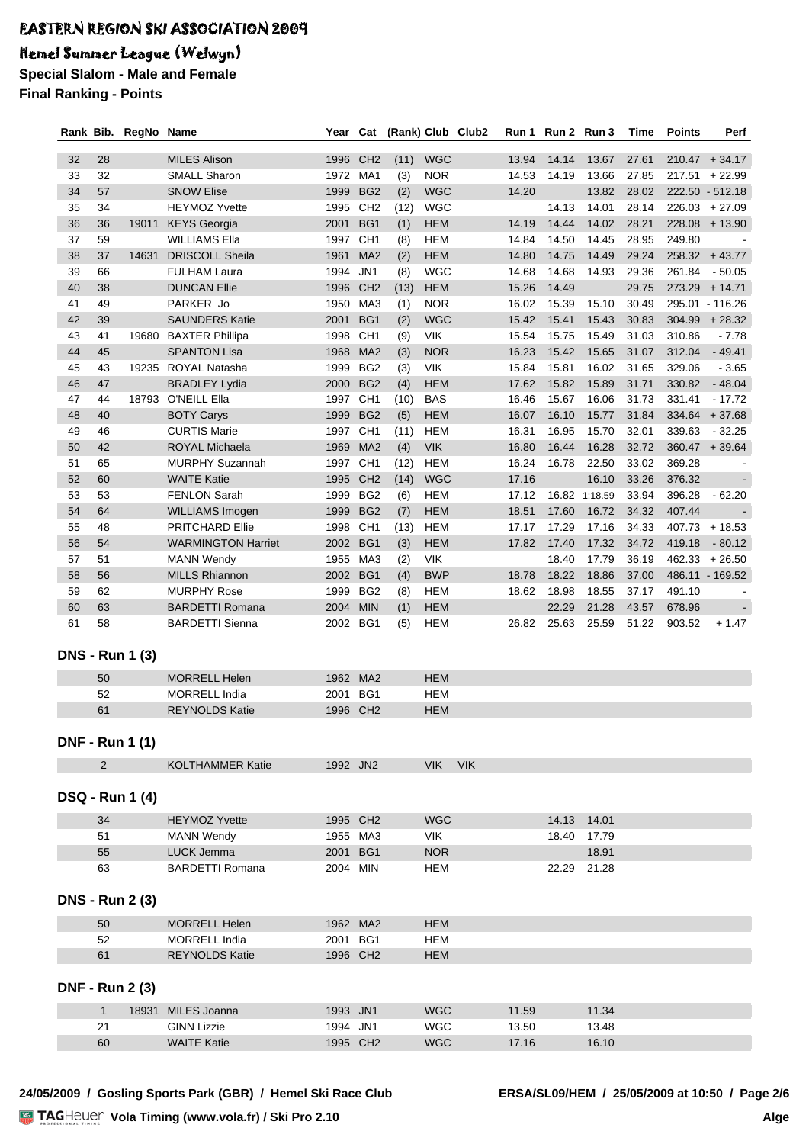# Hemel Summer League (Welwyn)

**Special Slalom - Male and Female Final Ranking - Points**

|    |              | Rank Bib. RegNo Name   |                           | Year     | Cat             | (Rank) Club Club2 |            |            |       | Run 1 Run 2 Run 3 |               | Time  | <b>Points</b> | Perf             |
|----|--------------|------------------------|---------------------------|----------|-----------------|-------------------|------------|------------|-------|-------------------|---------------|-------|---------------|------------------|
|    |              |                        |                           |          |                 |                   |            |            |       |                   |               |       |               |                  |
| 32 | 28           |                        | <b>MILES Alison</b>       | 1996 CH2 |                 | (11)              | <b>WGC</b> |            | 13.94 | 14.14             | 13.67         | 27.61 |               | $210.47 + 34.17$ |
| 33 | 32           |                        | <b>SMALL Sharon</b>       | 1972 MA1 |                 | (3)               | <b>NOR</b> |            | 14.53 | 14.19             | 13.66         | 27.85 |               | $217.51 + 22.99$ |
| 34 | 57           |                        | <b>SNOW Elise</b>         | 1999     | BG <sub>2</sub> | (2)               | <b>WGC</b> |            | 14.20 |                   | 13.82         | 28.02 |               | 222.50 - 512.18  |
| 35 | 34           |                        | <b>HEYMOZ Yvette</b>      | 1995     | CH <sub>2</sub> | (12)              | <b>WGC</b> |            |       | 14.13             | 14.01         | 28.14 |               | $226.03 + 27.09$ |
| 36 | 36           | 19011                  | <b>KEYS</b> Georgia       | 2001     | BG <sub>1</sub> | (1)               | <b>HEM</b> |            | 14.19 | 14.44             | 14.02         | 28.21 |               | $228.08 + 13.90$ |
| 37 | 59           |                        | <b>WILLIAMS Ella</b>      | 1997     | CH <sub>1</sub> | (8)               | <b>HEM</b> |            | 14.84 | 14.50             | 14.45         | 28.95 | 249.80        |                  |
| 38 | 37           | 14631                  | <b>DRISCOLL Sheila</b>    | 1961     | MA <sub>2</sub> | (2)               | <b>HEM</b> |            | 14.80 | 14.75             | 14.49         | 29.24 |               | $258.32 + 43.77$ |
| 39 | 66           |                        | <b>FULHAM Laura</b>       | 1994     | JN1             | (8)               | <b>WGC</b> |            | 14.68 | 14.68             | 14.93         | 29.36 | 261.84        | $-50.05$         |
| 40 | 38           |                        | <b>DUNCAN Ellie</b>       | 1996     | CH <sub>2</sub> | (13)              | <b>HEM</b> |            | 15.26 | 14.49             |               | 29.75 |               | $273.29 + 14.71$ |
| 41 | 49           |                        | PARKER Jo                 | 1950     | MA3             | (1)               | <b>NOR</b> |            | 16.02 | 15.39             | 15.10         | 30.49 |               | 295.01 - 116.26  |
| 42 | 39           |                        | <b>SAUNDERS Katie</b>     | 2001     | BG1             | (2)               | <b>WGC</b> |            | 15.42 | 15.41             | 15.43         | 30.83 | 304.99        | $+28.32$         |
| 43 | 41           | 19680                  | <b>BAXTER Phillipa</b>    | 1998     | CH <sub>1</sub> | (9)               | <b>VIK</b> |            | 15.54 | 15.75             | 15.49         | 31.03 | 310.86        | $-7.78$          |
| 44 | 45           |                        | <b>SPANTON Lisa</b>       | 1968     | MA <sub>2</sub> | (3)               | <b>NOR</b> |            | 16.23 | 15.42             | 15.65         | 31.07 | 312.04        | $-49.41$         |
| 45 | 43           |                        | 19235 ROYAL Natasha       | 1999     | BG <sub>2</sub> | (3)               | <b>VIK</b> |            | 15.84 | 15.81             | 16.02         | 31.65 | 329.06        | $-3.65$          |
| 46 | 47           |                        | <b>BRADLEY Lydia</b>      | 2000     | BG <sub>2</sub> | (4)               | <b>HEM</b> |            | 17.62 | 15.82             | 15.89         | 31.71 | 330.82        | $-48.04$         |
| 47 | 44           | 18793                  | O'NEILL Ella              | 1997     | CH <sub>1</sub> | (10)              | <b>BAS</b> |            | 16.46 | 15.67             | 16.06         | 31.73 | 331.41        | $-17.72$         |
| 48 | 40           |                        | <b>BOTY Carys</b>         | 1999     | BG <sub>2</sub> | (5)               | <b>HEM</b> |            | 16.07 | 16.10             | 15.77         | 31.84 | 334.64        | $+37.68$         |
| 49 | 46           |                        | <b>CURTIS Marie</b>       | 1997     | CH <sub>1</sub> | (11)              | <b>HEM</b> |            | 16.31 | 16.95             | 15.70         | 32.01 | 339.63        | $-32.25$         |
| 50 | 42           |                        | <b>ROYAL Michaela</b>     | 1969     | MA <sub>2</sub> | (4)               | <b>VIK</b> |            | 16.80 | 16.44             | 16.28         | 32.72 |               | $360.47 + 39.64$ |
| 51 | 65           |                        | <b>MURPHY Suzannah</b>    | 1997     | CH <sub>1</sub> | (12)              | <b>HEM</b> |            | 16.24 | 16.78             | 22.50         | 33.02 | 369.28        |                  |
| 52 | 60           |                        | <b>WAITE Katie</b>        | 1995     | CH <sub>2</sub> | (14)              | <b>WGC</b> |            | 17.16 |                   | 16.10         | 33.26 | 376.32        |                  |
| 53 | 53           |                        | <b>FENLON Sarah</b>       | 1999     | BG <sub>2</sub> | (6)               | <b>HEM</b> |            | 17.12 |                   | 16.82 1:18.59 | 33.94 | 396.28        | $-62.20$         |
| 54 | 64           |                        | WILLIAMS Imogen           | 1999     | BG <sub>2</sub> | (7)               | <b>HEM</b> |            | 18.51 | 17.60             | 16.72         | 34.32 | 407.44        |                  |
| 55 | 48           |                        | <b>PRITCHARD Ellie</b>    | 1998 CH1 |                 | (13)              | <b>HEM</b> |            | 17.17 | 17.29             | 17.16         | 34.33 | 407.73        | $+18.53$         |
| 56 | 54           |                        | <b>WARMINGTON Harriet</b> | 2002 BG1 |                 | (3)               | <b>HEM</b> |            | 17.82 | 17.40             | 17.32         | 34.72 | 419.18        | $-80.12$         |
| 57 | 51           |                        | <b>MANN Wendy</b>         | 1955 MA3 |                 | (2)               | VIK        |            |       | 18.40             | 17.79         | 36.19 |               | $462.33 + 26.50$ |
| 58 | 56           |                        | <b>MILLS Rhiannon</b>     | 2002 BG1 |                 | (4)               | <b>BWP</b> |            | 18.78 | 18.22             | 18.86         | 37.00 |               | 486.11 - 169.52  |
| 59 | 62           |                        | <b>MURPHY Rose</b>        | 1999     | BG <sub>2</sub> | (8)               | <b>HEM</b> |            | 18.62 | 18.98             | 18.55         | 37.17 | 491.10        |                  |
| 60 | 63           |                        | <b>BARDETTI Romana</b>    | 2004     | <b>MIN</b>      | (1)               | <b>HEM</b> |            |       | 22.29             | 21.28         | 43.57 | 678.96        |                  |
| 61 | 58           |                        | <b>BARDETTI Sienna</b>    | 2002 BG1 |                 | (5)               | <b>HEM</b> |            | 26.82 | 25.63             | 25.59         | 51.22 | 903.52        | $+1.47$          |
|    |              |                        |                           |          |                 |                   |            |            |       |                   |               |       |               |                  |
|    |              | <b>DNS - Run 1 (3)</b> |                           |          |                 |                   |            |            |       |                   |               |       |               |                  |
|    |              |                        |                           |          |                 |                   |            |            |       |                   |               |       |               |                  |
|    | 50           |                        | <b>MORRELL Helen</b>      |          | 1962 MA2        |                   | <b>HEM</b> |            |       |                   |               |       |               |                  |
|    | 52           |                        | <b>MORRELL India</b>      | 2001     | BG1             |                   | <b>HEM</b> |            |       |                   |               |       |               |                  |
|    | 61           |                        | <b>REYNOLDS Katie</b>     | 1996 CH2 |                 |                   | <b>HEM</b> |            |       |                   |               |       |               |                  |
|    |              |                        |                           |          |                 |                   |            |            |       |                   |               |       |               |                  |
|    |              | <b>DNF - Run 1 (1)</b> |                           |          |                 |                   |            |            |       |                   |               |       |               |                  |
|    | 2            |                        | <b>KOLTHAMMER Katie</b>   | 1992 JN2 |                 |                   | <b>VIK</b> | <b>VIK</b> |       |                   |               |       |               |                  |
|    |              |                        |                           |          |                 |                   |            |            |       |                   |               |       |               |                  |
|    |              | <b>DSQ - Run 1 (4)</b> |                           |          |                 |                   |            |            |       |                   |               |       |               |                  |
|    |              |                        |                           |          |                 |                   |            |            |       |                   |               |       |               |                  |
|    | 34           |                        | <b>HEYMOZ Yvette</b>      |          | 1995 CH2        |                   | <b>WGC</b> |            |       |                   | 14.13 14.01   |       |               |                  |
|    | 51           |                        | <b>MANN Wendy</b>         |          | 1955 MA3        |                   | VIK.       |            |       | 18.40             | 17.79         |       |               |                  |
|    | 55           |                        | LUCK Jemma                | 2001 BG1 |                 |                   | <b>NOR</b> |            |       |                   | 18.91         |       |               |                  |
|    | 63           |                        | <b>BARDETTI Romana</b>    | 2004 MIN |                 |                   | <b>HEM</b> |            |       | 22.29             | 21.28         |       |               |                  |
|    |              |                        |                           |          |                 |                   |            |            |       |                   |               |       |               |                  |
|    |              | <b>DNS - Run 2 (3)</b> |                           |          |                 |                   |            |            |       |                   |               |       |               |                  |
|    | 50           |                        | <b>MORRELL Helen</b>      |          | 1962 MA2        |                   | <b>HEM</b> |            |       |                   |               |       |               |                  |
|    | 52           |                        | <b>MORRELL India</b>      | 2001     | BG1             |                   | <b>HEM</b> |            |       |                   |               |       |               |                  |
|    | 61           |                        | <b>REYNOLDS Katie</b>     |          | 1996 CH2        |                   | <b>HEM</b> |            |       |                   |               |       |               |                  |
|    |              |                        |                           |          |                 |                   |            |            |       |                   |               |       |               |                  |
|    |              | <b>DNF - Run 2 (3)</b> |                           |          |                 |                   |            |            |       |                   |               |       |               |                  |
|    |              |                        |                           |          |                 |                   |            |            |       |                   |               |       |               |                  |
|    | $\mathbf{1}$ | 18931                  | MILES Joanna              | 1993 JN1 |                 |                   | <b>WGC</b> |            | 11.59 |                   | 11.34         |       |               |                  |
|    | 21           |                        | <b>GINN Lizzie</b>        | 1994 JN1 |                 |                   | <b>WGC</b> |            | 13.50 |                   | 13.48         |       |               |                  |
|    | 60           |                        | <b>WAITE Katie</b>        | 1995 CH2 |                 |                   | <b>WGC</b> |            | 17.16 |                   | 16.10         |       |               |                  |
|    |              |                        |                           |          |                 |                   |            |            |       |                   |               |       |               |                  |

**24/05/2009 / Gosling Sports Park (GBR) / Hemel Ski Race Club ERSA/SL09/HEM / 25/05/2009 at 10:50 / Page 2/6**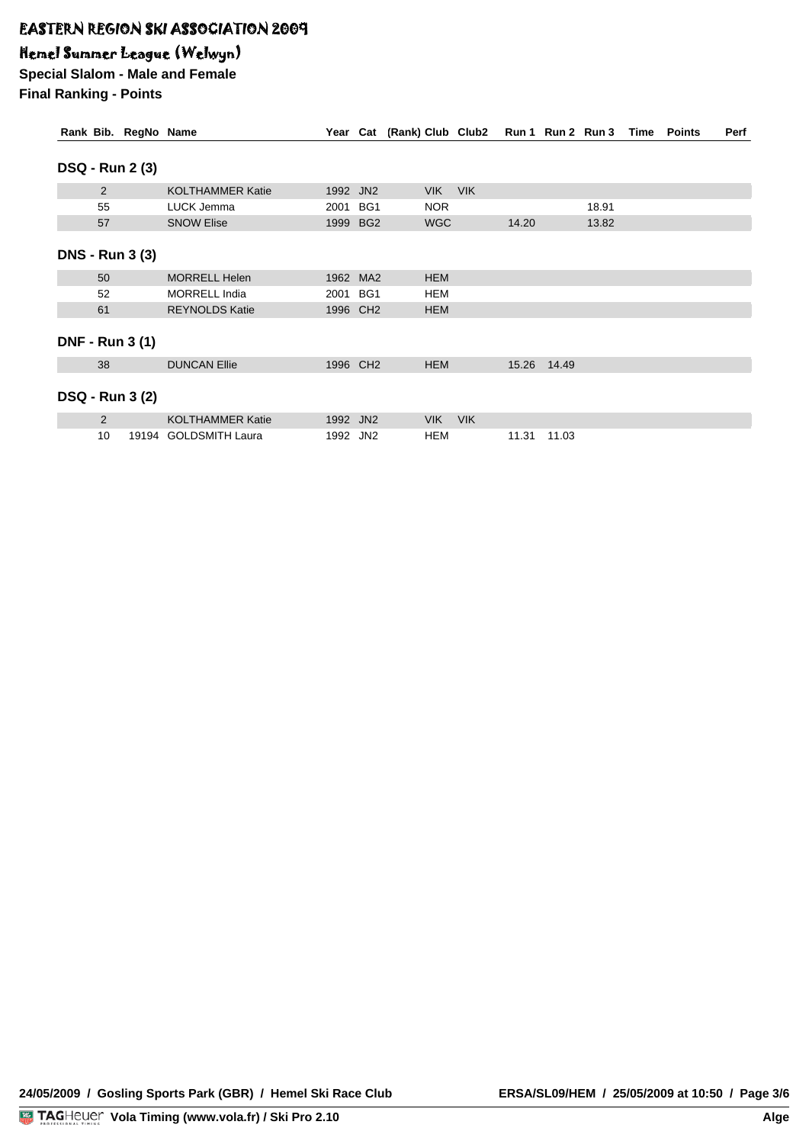## Hemel Summer League (Welwyn)

**Special Slalom - Male and Female Final Ranking - Points**

| Rank Bib. RegNo Name   |       |                         |          |     | Year Cat (Rank) Club Club2 |            |       | Run 1 Run 2 Run 3 |       | Time | <b>Points</b> | Perf |
|------------------------|-------|-------------------------|----------|-----|----------------------------|------------|-------|-------------------|-------|------|---------------|------|
| <b>DSQ - Run 2 (3)</b> |       |                         |          |     |                            |            |       |                   |       |      |               |      |
| 2                      |       | <b>KOLTHAMMER Katie</b> | 1992 JN2 |     | <b>VIK</b>                 | <b>VIK</b> |       |                   |       |      |               |      |
| 55                     |       | LUCK Jemma              | 2001     | BG1 | NOR.                       |            |       |                   | 18.91 |      |               |      |
| 57                     |       | <b>SNOW Elise</b>       | 1999 BG2 |     | <b>WGC</b>                 |            | 14.20 |                   | 13.82 |      |               |      |
| <b>DNS - Run 3 (3)</b> |       |                         |          |     |                            |            |       |                   |       |      |               |      |
| 50                     |       | <b>MORRELL Helen</b>    | 1962 MA2 |     | <b>HEM</b>                 |            |       |                   |       |      |               |      |
| 52                     |       | <b>MORRELL India</b>    | 2001 BG1 |     | HEM                        |            |       |                   |       |      |               |      |
| 61                     |       | <b>REYNOLDS Katie</b>   | 1996 CH2 |     | <b>HEM</b>                 |            |       |                   |       |      |               |      |
| <b>DNF - Run 3 (1)</b> |       |                         |          |     |                            |            |       |                   |       |      |               |      |
| 38                     |       | <b>DUNCAN Ellie</b>     | 1996 CH2 |     | <b>HEM</b>                 |            | 15.26 | 14.49             |       |      |               |      |
| <b>DSQ - Run 3 (2)</b> |       |                         |          |     |                            |            |       |                   |       |      |               |      |
| $\overline{2}$         |       | <b>KOLTHAMMER Katie</b> | 1992 JN2 |     | <b>VIK</b>                 | <b>VIK</b> |       |                   |       |      |               |      |
| 10                     | 19194 | <b>GOLDSMITH Laura</b>  | 1992 JN2 |     | HEM                        |            | 11.31 | 11.03             |       |      |               |      |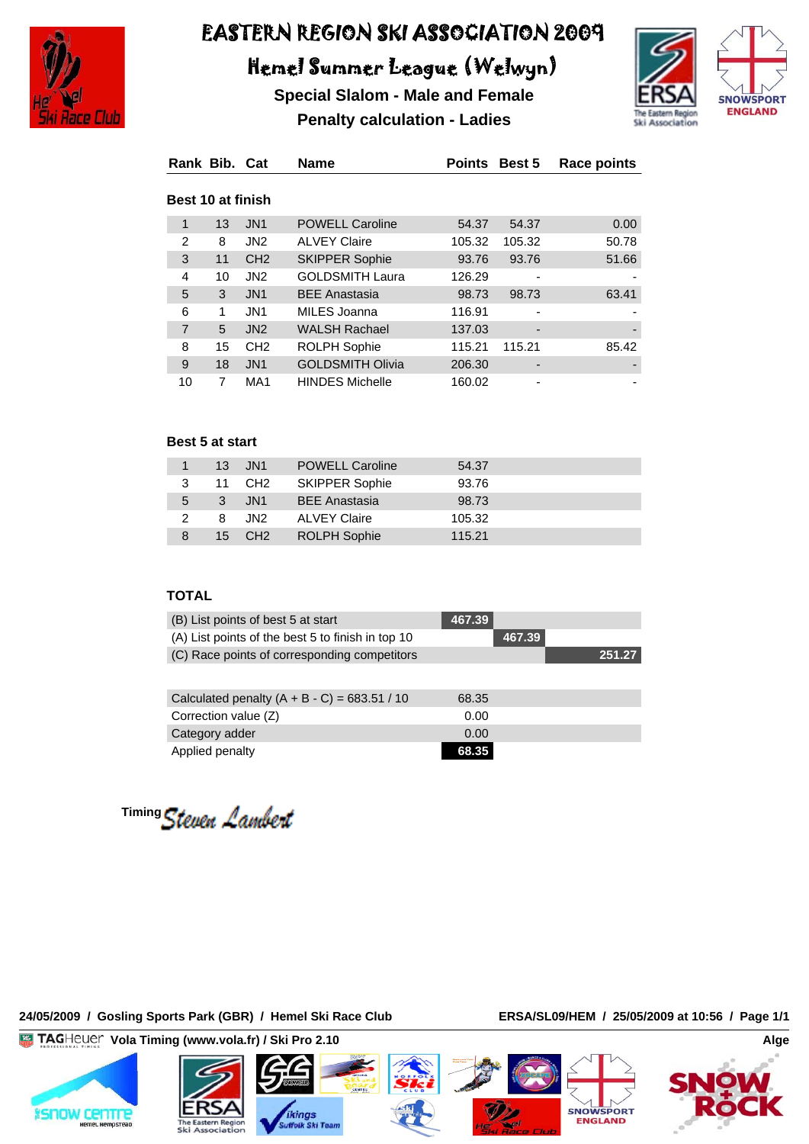

# Hemel Summer League (Welwyn)

**Special Slalom - Male and Female Penalty calculation - Ladies**



| Rank Bib. Cat            |    |                 | <b>Name</b>             | <b>Points</b> | <b>Best 5</b> | <b>Race points</b> |
|--------------------------|----|-----------------|-------------------------|---------------|---------------|--------------------|
| <b>Best 10 at finish</b> |    |                 |                         |               |               |                    |
| 1                        | 13 | JN <sub>1</sub> | <b>POWELL Caroline</b>  | 54.37         | 54.37         | 0.00               |
| $\overline{2}$           | 8  | JN <sub>2</sub> | <b>ALVEY Claire</b>     | 105.32        | 105.32        | 50.78              |
| 3                        | 11 | CH <sub>2</sub> | <b>SKIPPER Sophie</b>   | 93.76         | 93.76         | 51.66              |
| 4                        | 10 | JN <sub>2</sub> | <b>GOLDSMITH Laura</b>  | 126.29        |               |                    |
| 5                        | 3  | JN <sub>1</sub> | <b>BEE Anastasia</b>    | 98.73         | 98.73         | 63.41              |
| 6                        | 1  | JN <sub>1</sub> | MILES Joanna            | 116.91        | -             |                    |
| $\overline{7}$           | 5  | J <sub>N2</sub> | <b>WALSH Rachael</b>    | 137.03        |               |                    |
| 8                        | 15 | CH <sub>2</sub> | <b>ROLPH Sophie</b>     | 115.21        | 115.21        | 85.42              |
| 9                        | 18 | JN <sub>1</sub> | <b>GOLDSMITH Olivia</b> | 206.30        |               |                    |
| 10                       | 7  | MA <sub>1</sub> | <b>HINDES Michelle</b>  | 160.02        | ۰             |                    |

#### **Best 5 at start**

|                | 13 JN1             | <b>POWELL Caroline</b> | 54.37  |  |
|----------------|--------------------|------------------------|--------|--|
|                | 11 CH <sub>2</sub> | <b>SKIPPER Sophie</b>  | 93.76  |  |
| $\overline{5}$ | 3 JN1              | <b>BEE Anastasia</b>   | 98.73  |  |
| $\mathcal{P}$  | 8 JN2              | <b>ALVEY Claire</b>    | 105.32 |  |
|                | 15 CH <sub>2</sub> | <b>ROLPH Sophie</b>    | 115.21 |  |

#### **TOTAL**

| (B) List points of best 5 at start                | 467.39 |        |        |
|---------------------------------------------------|--------|--------|--------|
| (A) List points of the best 5 to finish in top 10 |        | 467.39 |        |
| (C) Race points of corresponding competitors      |        |        | 251.27 |
|                                                   |        |        |        |
| Calculated penalty $(A + B - C) = 683.51 / 10$    | 68.35  |        |        |
| Correction value (Z)                              | 0.00   |        |        |
| Category adder                                    | 0.00   |        |        |
| Applied penalty                                   | 68.35  |        |        |

<sup>Timing</sup> Steven Lambert

#### **24/05/2009 / Gosling Sports Park (GBR) / Hemel Ski Race Club ERSA/SL09/HEM / 25/05/2009 at 10:56 / Page 1/1**

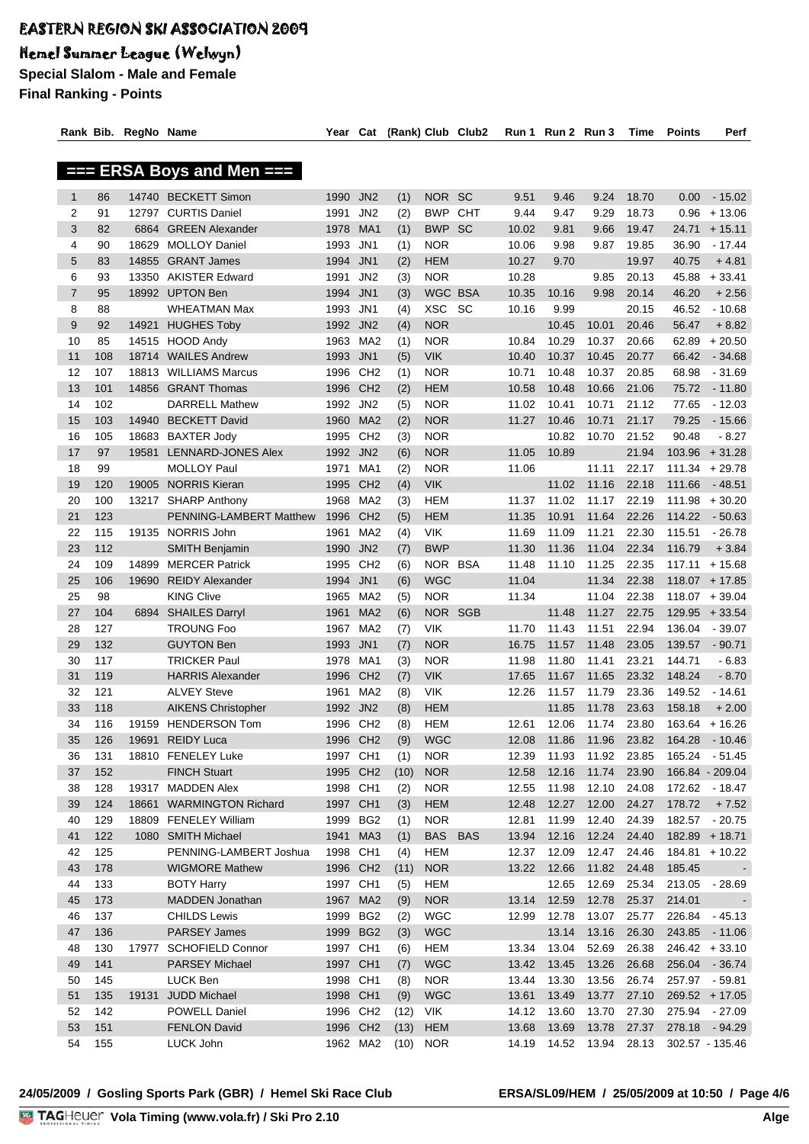## Hemel Summer League (Welwyn)

**Special Slalom - Male and Female Final Ranking - Points**

|                |     | Rank Bib. RegNo Name |                                                | Year Cat             |                        |      |                | (Rank) Club Club2 | Run 1 | Run 2 Run 3 |       | Time  | Points | Perf             |
|----------------|-----|----------------------|------------------------------------------------|----------------------|------------------------|------|----------------|-------------------|-------|-------------|-------|-------|--------|------------------|
|                |     |                      |                                                |                      |                        |      |                |                   |       |             |       |       |        |                  |
|                |     |                      | $==$ ERSA Boys and Men $==$                    |                      |                        |      |                |                   |       |             |       |       |        |                  |
|                |     |                      |                                                |                      |                        |      |                |                   |       |             |       |       |        |                  |
| $\mathbf{1}$   | 86  |                      | 14740 BECKETT Simon                            | 1990 JN2             |                        | (1)  | NOR SC         |                   | 9.51  | 9.46        | 9.24  | 18.70 | 0.00   | $-15.02$         |
| 2              | 91  |                      | 12797 CURTIS Daniel                            | 1991                 | JN <sub>2</sub>        | (2)  | <b>BWP</b>     | CHT               | 9.44  | 9.47        | 9.29  | 18.73 | 0.96   | $+13.06$         |
| 3              | 82  | 6864                 | <b>GREEN Alexander</b>                         | 1978                 | MA1                    | (1)  | <b>BWP</b>     | <b>SC</b>         | 10.02 | 9.81        | 9.66  | 19.47 | 24.71  | $+15.11$         |
| 4              | 90  | 18629                | <b>MOLLOY Daniel</b>                           | 1993 JN1             |                        | (1)  | <b>NOR</b>     |                   | 10.06 | 9.98        | 9.87  | 19.85 | 36.90  | $-17.44$         |
| 5              | 83  | 14855                | <b>GRANT James</b>                             | 1994                 | JN <sub>1</sub>        | (2)  | <b>HEM</b>     |                   | 10.27 | 9.70        |       | 19.97 | 40.75  | $+4.81$          |
| 6              | 93  | 13350                | <b>AKISTER Edward</b>                          | 1991                 | JN <sub>2</sub>        | (3)  | <b>NOR</b>     |                   | 10.28 |             | 9.85  | 20.13 | 45.88  | $+33.41$         |
| $\overline{7}$ | 95  |                      | 18992 UPTON Ben                                | 1994                 | JN <sub>1</sub>        | (3)  | <b>WGC BSA</b> |                   | 10.35 | 10.16       | 9.98  | 20.14 | 46.20  | $+2.56$          |
| 8              | 88  |                      | <b>WHEATMAN Max</b>                            | 1993 JN1             |                        | (4)  | <b>XSC</b>     | <b>SC</b>         | 10.16 | 9.99        |       | 20.15 | 46.52  | $-10.68$         |
| 9              | 92  |                      | 14921 HUGHES Toby                              | 1992 JN2             |                        | (4)  | <b>NOR</b>     |                   |       | 10.45       | 10.01 | 20.46 | 56.47  | $+8.82$          |
| 10             | 85  |                      | 14515 HOOD Andy                                | 1963 MA2             |                        | (1)  | <b>NOR</b>     |                   | 10.84 | 10.29       | 10.37 | 20.66 | 62.89  | $+20.50$         |
| 11             | 108 |                      | 18714 WAILES Andrew                            | 1993 JN1             |                        | (5)  | <b>VIK</b>     |                   | 10.40 | 10.37       | 10.45 | 20.77 | 66.42  | $-34.68$         |
| 12             | 107 |                      | 18813 WILLIAMS Marcus                          | 1996 CH <sub>2</sub> |                        | (1)  | <b>NOR</b>     |                   | 10.71 | 10.48       | 10.37 | 20.85 | 68.98  | $-31.69$         |
| 13             | 101 |                      | 14856 GRANT Thomas                             | 1996 CH2             |                        | (2)  | <b>HEM</b>     |                   | 10.58 | 10.48       | 10.66 | 21.06 | 75.72  | $-11.80$         |
| 14             | 102 |                      | <b>DARRELL Mathew</b>                          | 1992 JN2             |                        | (5)  | <b>NOR</b>     |                   | 11.02 | 10.41       | 10.71 | 21.12 | 77.65  | $-12.03$         |
| 15             | 103 |                      | 14940 BECKETT David                            | 1960                 | MA <sub>2</sub>        | (2)  | <b>NOR</b>     |                   | 11.27 | 10.46       | 10.71 | 21.17 | 79.25  | $-15.66$         |
| 16             | 105 |                      | 18683 BAXTER Jody                              | 1995 CH2             |                        | (3)  | <b>NOR</b>     |                   |       | 10.82       | 10.70 | 21.52 | 90.48  | $-8.27$          |
| 17             | 97  | 19581                | <b>LENNARD-JONES Alex</b>                      | 1992 JN2             |                        | (6)  | <b>NOR</b>     |                   | 11.05 | 10.89       |       | 21.94 | 103.96 | $+31.28$         |
| 18             | 99  |                      | <b>MOLLOY Paul</b>                             | 1971                 | MA <sub>1</sub>        | (2)  | <b>NOR</b>     |                   | 11.06 |             | 11.11 | 22.17 | 111.34 | $+29.78$         |
| 19             | 120 |                      | 19005 NORRIS Kieran                            | 1995                 | CH <sub>2</sub>        | (4)  | <b>VIK</b>     |                   |       | 11.02       | 11.16 | 22.18 | 111.66 | $-48.51$         |
|                | 100 |                      |                                                |                      | MA <sub>2</sub>        |      | <b>HEM</b>     |                   | 11.37 |             | 11.17 | 22.19 |        |                  |
| 20             | 123 |                      | 13217 SHARP Anthony<br>PENNING-LAMBERT Matthew | 1968                 |                        | (3)  |                |                   |       | 11.02       |       |       | 111.98 | $+30.20$         |
| 21             |     |                      |                                                | 1996                 | CH2<br>MA <sub>2</sub> | (5)  | <b>HEM</b>     |                   | 11.35 | 10.91       | 11.64 | 22.26 | 114.22 | $-50.63$         |
| 22             | 115 |                      | 19135 NORRIS John                              | 1961                 |                        | (4)  | <b>VIK</b>     |                   | 11.69 | 11.09       | 11.21 | 22.30 | 115.51 | $-26.78$         |
| 23             | 112 |                      | <b>SMITH Benjamin</b>                          | 1990                 | JN <sub>2</sub>        | (7)  | <b>BWP</b>     |                   | 11.30 | 11.36       | 11.04 | 22.34 | 116.79 | $+3.84$          |
| 24             | 109 | 14899                | <b>MERCER Patrick</b>                          | 1995                 | CH <sub>2</sub>        | (6)  | NOR BSA        |                   | 11.48 | 11.10       | 11.25 | 22.35 | 117.11 | $+15.68$         |
| 25             | 106 | 19690                | <b>REIDY Alexander</b>                         | 1994 JN1             |                        | (6)  | <b>WGC</b>     |                   | 11.04 |             | 11.34 | 22.38 |        | $118.07 + 17.85$ |
| 25             | 98  |                      | <b>KING Clive</b>                              | 1965                 | MA2                    | (5)  | <b>NOR</b>     |                   | 11.34 |             | 11.04 | 22.38 |        | $118.07 + 39.04$ |
| 27             | 104 |                      | 6894 SHAILES Darryl                            | 1961                 | MA <sub>2</sub>        | (6)  | NOR SGB        |                   |       | 11.48       | 11.27 | 22.75 |        | $129.95 + 33.54$ |
| 28             | 127 |                      | <b>TROUNG Foo</b>                              | 1967 MA2             |                        | (7)  | <b>VIK</b>     |                   | 11.70 | 11.43       | 11.51 | 22.94 | 136.04 | $-39.07$         |
| 29             | 132 |                      | <b>GUYTON Ben</b>                              | 1993 JN1             |                        | (7)  | <b>NOR</b>     |                   | 16.75 | 11.57       | 11.48 | 23.05 | 139.57 | $-90.71$         |
| 30             | 117 |                      | <b>TRICKER Paul</b>                            | 1978                 | MA1                    | (3)  | <b>NOR</b>     |                   | 11.98 | 11.80       | 11.41 | 23.21 | 144.71 | $-6.83$          |
| 31             | 119 |                      | <b>HARRIS Alexander</b>                        | 1996                 | CH <sub>2</sub>        | (7)  | <b>VIK</b>     |                   | 17.65 | 11.67       | 11.65 | 23.32 | 148.24 | $-8.70$          |
| 32             | 121 |                      | <b>ALVEY Steve</b>                             | 1961                 | MA <sub>2</sub>        | (8)  | <b>VIK</b>     |                   | 12.26 | 11.57       | 11.79 | 23.36 | 149.52 | $-14.61$         |
| 33             | 118 |                      | <b>AIKENS Christopher</b>                      | 1992 JN2             |                        | (8)  | <b>HEM</b>     |                   |       | 11.85       | 11.78 | 23.63 | 158.18 | $+2.00$          |
| 34             | 116 |                      | 19159 HENDERSON Tom                            | 1996 CH2             |                        | (8)  | <b>HEM</b>     |                   | 12.61 | 12.06       | 11.74 | 23.80 |        | $163.64 + 16.26$ |
| 35             | 126 |                      | 19691 REIDY Luca                               | 1996 CH2             |                        | (9)  | <b>WGC</b>     |                   | 12.08 | 11.86       | 11.96 | 23.82 | 164.28 | $-10.46$         |
| 36             | 131 |                      | 18810 FENELEY Luke                             | 1997 CH1             |                        | (1)  | <b>NOR</b>     |                   | 12.39 | 11.93       | 11.92 | 23.85 | 165.24 | - 51.45          |
| 37             | 152 |                      | <b>FINCH Stuart</b>                            | 1995 CH2             |                        | (10) | <b>NOR</b>     |                   | 12.58 | 12.16       | 11.74 | 23.90 |        | 166.84 - 209.04  |
| 38             | 128 |                      | 19317 MADDEN Alex                              | 1998 CH1             |                        | (2)  | <b>NOR</b>     |                   | 12.55 | 11.98       | 12.10 | 24.08 |        | 172.62 - 18.47   |
| 39             | 124 |                      | 18661 WARMINGTON Richard                       | 1997 CH1             |                        | (3)  | <b>HEM</b>     |                   | 12.48 | 12.27       | 12.00 | 24.27 | 178.72 | $+7.52$          |
| 40             | 129 |                      | 18809 FENELEY William                          | 1999 BG2             |                        | (1)  | <b>NOR</b>     |                   | 12.81 | 11.99       | 12.40 | 24.39 | 182.57 | - 20.75          |
| 41             | 122 |                      | 1080 SMITH Michael                             | 1941 MA3             |                        | (1)  | <b>BAS</b>     | <b>BAS</b>        | 13.94 | 12.16       | 12.24 | 24.40 |        | $182.89 + 18.71$ |
| 42             | 125 |                      | PENNING-LAMBERT Joshua                         | 1998 CH1             |                        | (4)  | <b>HEM</b>     |                   | 12.37 | 12.09       | 12.47 | 24.46 |        | $184.81 + 10.22$ |
| 43             | 178 |                      | <b>WIGMORE Mathew</b>                          | 1996 CH2             |                        | (11) | <b>NOR</b>     |                   | 13.22 | 12.66       | 11.82 | 24.48 | 185.45 |                  |
| 44             | 133 |                      | <b>BOTY Harry</b>                              | 1997 CH1             |                        | (5)  | HEM            |                   |       | 12.65       | 12.69 | 25.34 |        | 213.05 - 28.69   |
| 45             | 173 |                      | <b>MADDEN</b> Jonathan                         | 1967 MA2             |                        | (9)  | <b>NOR</b>     |                   | 13.14 | 12.59       | 12.78 | 25.37 | 214.01 |                  |
| 46             | 137 |                      | CHILDS Lewis                                   | 1999 BG2             |                        | (2)  | <b>WGC</b>     |                   | 12.99 | 12.78       | 13.07 | 25.77 | 226.84 | $-45.13$         |
| 47             | 136 |                      | <b>PARSEY James</b>                            | 1999 BG2             |                        | (3)  | <b>WGC</b>     |                   |       | 13.14       | 13.16 | 26.30 |        | 243.85 - 11.06   |
| 48             | 130 | 17977                | <b>SCHOFIELD Connor</b>                        | 1997 CH1             |                        | (6)  | <b>HEM</b>     |                   | 13.34 | 13.04       | 52.69 | 26.38 |        | $246.42 + 33.10$ |
| 49             | 141 |                      | <b>PARSEY Michael</b>                          | 1997 CH1             |                        | (7)  | <b>WGC</b>     |                   | 13.42 | 13.45       | 13.26 | 26.68 |        | 256.04 - 36.74   |
| 50             | 145 |                      | LUCK Ben                                       | 1998 CH1             |                        | (8)  | <b>NOR</b>     |                   | 13.44 | 13.30       | 13.56 | 26.74 |        | 257.97 - 59.81   |
| 51             | 135 | 19131                | <b>JUDD Michael</b>                            | 1998 CH1             |                        | (9)  | <b>WGC</b>     |                   | 13.61 | 13.49       | 13.77 | 27.10 |        | $269.52 + 17.05$ |
| 52             | 142 |                      | POWELL Daniel                                  | 1996 CH2             |                        | (12) | <b>VIK</b>     |                   | 14.12 | 13.60       | 13.70 | 27.30 |        | 275.94 - 27.09   |
| 53             | 151 |                      | <b>FENLON David</b>                            | 1996 CH2             |                        | (13) | <b>HEM</b>     |                   | 13.68 | 13.69       | 13.78 | 27.37 |        | 278.18 - 94.29   |
| 54             | 155 |                      | LUCK John                                      |                      | 1962 MA2               | (10) | <b>NOR</b>     |                   | 14.19 | 14.52       | 13.94 | 28.13 |        | 302.57 - 135.46  |
|                |     |                      |                                                |                      |                        |      |                |                   |       |             |       |       |        |                  |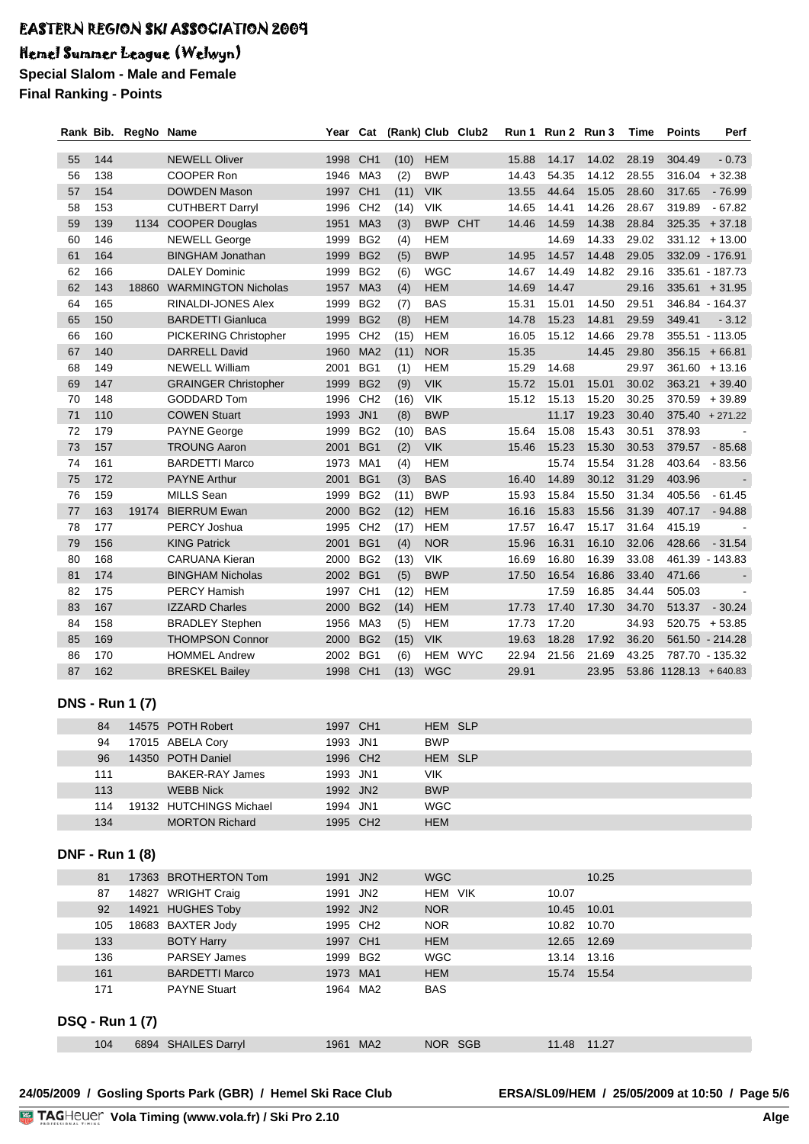# Hemel Summer League (Welwyn)

**Special Slalom - Male and Female Final Ranking - Points**

|          |            | Rank Bib. RegNo Name   |                                                | Year                 | Cat                                |              |                          | (Rank) Club Club2 | Run 1          | Run 2 Run 3    |                | Time           | <b>Points</b>          | Perf                       |
|----------|------------|------------------------|------------------------------------------------|----------------------|------------------------------------|--------------|--------------------------|-------------------|----------------|----------------|----------------|----------------|------------------------|----------------------------|
|          |            |                        |                                                |                      |                                    |              |                          |                   |                |                |                |                |                        |                            |
| 55       | 144        |                        | <b>NEWELL Oliver</b>                           | 1998                 | CH <sub>1</sub>                    | (10)         | <b>HEM</b>               |                   | 15.88          | 14.17          | 14.02          | 28.19          | 304.49                 | $-0.73$                    |
| 56       | 138        |                        | COOPER Ron                                     | 1946                 | MA3                                | (2)          | <b>BWP</b>               |                   | 14.43          | 54.35          | 14.12          | 28.55          |                        | $316.04 + 32.38$           |
| 57       | 154        |                        | DOWDEN Mason                                   | 1997                 | CH <sub>1</sub>                    | (11)         | <b>VIK</b>               |                   | 13.55          | 44.64          | 15.05          | 28.60          | 317.65                 | - 76.99                    |
| 58       | 153        |                        | <b>CUTHBERT Darryl</b>                         | 1996                 | CH <sub>2</sub>                    | (14)         | <b>VIK</b>               |                   | 14.65          | 14.41          | 14.26          | 28.67          | 319.89                 | $-67.82$                   |
| 59       | 139        | 1134                   | <b>COOPER Douglas</b>                          | 1951                 | MA <sub>3</sub>                    | (3)          | <b>BWP</b>               | <b>CHT</b>        | 14.46          | 14.59          | 14.38          | 28.84          | 325.35                 | $+37.18$                   |
| 60       | 146        |                        | <b>NEWELL George</b>                           | 1999                 | BG <sub>2</sub>                    | (4)          | <b>HEM</b>               |                   |                | 14.69          | 14.33          | 29.02          |                        | $331.12 + 13.00$           |
| 61       | 164        |                        | <b>BINGHAM Jonathan</b>                        | 1999                 | BG <sub>2</sub>                    | (5)          | <b>BWP</b>               |                   | 14.95          | 14.57          | 14.48          | 29.05          |                        | 332.09 - 176.91            |
| 62       | 166        |                        | <b>DALEY Dominic</b>                           | 1999                 | BG <sub>2</sub>                    | (6)          | <b>WGC</b>               |                   | 14.67          | 14.49          | 14.82          | 29.16          |                        | 335.61 - 187.73            |
| 62       | 143        | 18860                  | <b>WARMINGTON Nicholas</b>                     | 1957                 | MA <sub>3</sub>                    | (4)          | <b>HEM</b>               |                   | 14.69          | 14.47          |                | 29.16          |                        | $335.61 + 31.95$           |
| 64<br>65 | 165<br>150 |                        | RINALDI-JONES Alex<br><b>BARDETTI Gianluca</b> | 1999<br>1999         | BG <sub>2</sub><br>BG <sub>2</sub> | (7)          | <b>BAS</b><br><b>HEM</b> |                   | 15.31<br>14.78 | 15.01<br>15.23 | 14.50<br>14.81 | 29.51<br>29.59 | 349.41                 | 346.84 - 164.37<br>$-3.12$ |
| 66       | 160        |                        | PICKERING Christopher                          | 1995                 | CH <sub>2</sub>                    | (8)          | <b>HEM</b>               |                   | 16.05          | 15.12          | 14.66          | 29.78          |                        | 355.51 - 113.05            |
| 67       | 140        |                        | <b>DARRELL David</b>                           | 1960                 | MA <sub>2</sub>                    | (15)<br>(11) | <b>NOR</b>               |                   | 15.35          |                | 14.45          | 29.80          |                        | $356.15 + 66.81$           |
| 68       | 149        |                        | <b>NEWELL William</b>                          | 2001                 | BG1                                | (1)          | <b>HEM</b>               |                   | 15.29          | 14.68          |                | 29.97          |                        | $361.60 + 13.16$           |
| 69       | 147        |                        | <b>GRAINGER Christopher</b>                    | 1999                 | BG <sub>2</sub>                    | (9)          | <b>VIK</b>               |                   | 15.72          | 15.01          | 15.01          | 30.02          |                        | $363.21 + 39.40$           |
| 70       | 148        |                        | <b>GODDARD Tom</b>                             | 1996                 | CH <sub>2</sub>                    | (16)         | <b>VIK</b>               |                   | 15.12          | 15.13          | 15.20          | 30.25          |                        | $370.59 + 39.89$           |
| 71       | 110        |                        | <b>COWEN Stuart</b>                            | 1993                 | JN <sub>1</sub>                    | (8)          | <b>BWP</b>               |                   |                | 11.17          | 19.23          | 30.40          |                        | $375.40 + 271.22$          |
| 72       | 179        |                        | <b>PAYNE George</b>                            | 1999                 | BG <sub>2</sub>                    | (10)         | <b>BAS</b>               |                   | 15.64          | 15.08          | 15.43          | 30.51          | 378.93                 |                            |
| 73       | 157        |                        | <b>TROUNG Aaron</b>                            | 2001                 | BG1                                | (2)          | <b>VIK</b>               |                   | 15.46          | 15.23          | 15.30          | 30.53          | 379.57                 | $-85.68$                   |
| 74       | 161        |                        | <b>BARDETTI Marco</b>                          | 1973                 | MA <sub>1</sub>                    | (4)          | <b>HEM</b>               |                   |                | 15.74          | 15.54          | 31.28          | 403.64                 | $-83.56$                   |
| 75       | 172        |                        | <b>PAYNE Arthur</b>                            | 2001                 | BG1                                | (3)          | <b>BAS</b>               |                   | 16.40          | 14.89          | 30.12          | 31.29          | 403.96                 |                            |
| 76       | 159        |                        | <b>MILLS Sean</b>                              | 1999                 | BG <sub>2</sub>                    | (11)         | <b>BWP</b>               |                   | 15.93          | 15.84          | 15.50          | 31.34          | 405.56                 | $-61.45$                   |
| 77       | 163        | 19174                  | <b>BIERRUM Ewan</b>                            | 2000                 | BG <sub>2</sub>                    | (12)         | <b>HEM</b>               |                   | 16.16          | 15.83          | 15.56          | 31.39          | 407.17                 | $-94.88$                   |
| 78       | 177        |                        | PERCY Joshua                                   | 1995                 | CH <sub>2</sub>                    | (17)         | <b>HEM</b>               |                   | 17.57          | 16.47          | 15.17          | 31.64          | 415.19                 |                            |
| 79       | 156        |                        | <b>KING Patrick</b>                            | 2001                 | BG1                                | (4)          | <b>NOR</b>               |                   | 15.96          | 16.31          | 16.10          | 32.06          | 428.66                 | $-31.54$                   |
| 80       | 168        |                        | <b>CARUANA Kieran</b>                          | 2000                 | BG <sub>2</sub>                    | (13)         | <b>VIK</b>               |                   | 16.69          | 16.80          | 16.39          | 33.08          |                        | 461.39 - 143.83            |
| 81       | 174        |                        | <b>BINGHAM Nicholas</b>                        | 2002                 | BG1                                | (5)          | <b>BWP</b>               |                   | 17.50          | 16.54          | 16.86          | 33.40          | 471.66                 |                            |
| 82       | 175        |                        | <b>PERCY Hamish</b>                            | 1997                 | CH <sub>1</sub>                    | (12)         | <b>HEM</b>               |                   |                | 17.59          | 16.85          | 34.44          | 505.03                 |                            |
| 83       | 167        |                        | <b>IZZARD Charles</b>                          | 2000                 | BG <sub>2</sub>                    | (14)         | <b>HEM</b>               |                   | 17.73          | 17.40          | 17.30          | 34.70          | 513.37                 | $-30.24$                   |
| 84       | 158        |                        | <b>BRADLEY Stephen</b>                         | 1956                 | MA3                                | (5)          | <b>HEM</b>               |                   | 17.73          | 17.20          |                | 34.93          |                        | $520.75 + 53.85$           |
| 85       | 169        |                        | <b>THOMPSON Connor</b>                         | 2000                 | BG <sub>2</sub>                    | (15)         | <b>VIK</b>               |                   | 19.63          | 18.28          | 17.92          | 36.20          |                        | 561.50 - 214.28            |
| 86       | 170        |                        | <b>HOMMEL Andrew</b>                           | 2002                 | BG1                                | (6)          | HEM                      | <b>WYC</b>        | 22.94          | 21.56          | 21.69          | 43.25          |                        | 787.70 - 135.32            |
| 87       | 162        |                        | <b>BRESKEL Bailey</b>                          | 1998                 | CH <sub>1</sub>                    | (13)         | <b>WGC</b>               |                   | 29.91          |                | 23.95          |                | 53.86 1128.13 + 640.83 |                            |
|          |            |                        |                                                |                      |                                    |              |                          |                   |                |                |                |                |                        |                            |
|          |            | <b>DNS - Run 1 (7)</b> |                                                |                      |                                    |              |                          |                   |                |                |                |                |                        |                            |
|          | 84         |                        | 14575 POTH Robert                              | 1997 CH1             |                                    |              | HEM SLP                  |                   |                |                |                |                |                        |                            |
|          | 94         |                        | 17015 ABELA Cory                               | 1993 JN1             |                                    |              | <b>BWP</b>               |                   |                |                |                |                |                        |                            |
|          | 96         |                        | 14350 POTH Daniel                              | 1996 CH2             |                                    |              | HEM SLP                  |                   |                |                |                |                |                        |                            |
|          | 111        |                        | <b>BAKER-RAY James</b>                         | 1993 JN1             |                                    |              | <b>VIK</b>               |                   |                |                |                |                |                        |                            |
|          | 113        |                        | <b>WEBB Nick</b>                               | 1992 JN2             |                                    |              | <b>BWP</b>               |                   |                |                |                |                |                        |                            |
|          | 114        |                        | 19132 HUTCHINGS Michael                        | 1994 JN1             |                                    |              | <b>WGC</b>               |                   |                |                |                |                |                        |                            |
|          | 134        |                        | <b>MORTON Richard</b>                          | 1995 CH2             |                                    |              | <b>HEM</b>               |                   |                |                |                |                |                        |                            |
|          |            |                        |                                                |                      |                                    |              |                          |                   |                |                |                |                |                        |                            |
|          |            | <b>DNF - Run 1 (8)</b> |                                                |                      |                                    |              |                          |                   |                |                |                |                |                        |                            |
|          |            |                        |                                                |                      |                                    |              |                          |                   |                |                |                |                |                        |                            |
|          | 81         |                        | 17363 BROTHERTON Tom                           | 1991 JN2             |                                    |              | <b>WGC</b>               |                   |                |                | 10.25          |                |                        |                            |
|          | 87         |                        | 14827 WRIGHT Craig                             | 1991 JN2             |                                    |              | HEM VIK                  |                   |                | 10.07          |                |                |                        |                            |
|          | 92<br>105  |                        | 14921 HUGHES Toby<br>18683 BAXTER Jody         | 1992 JN2<br>1995 CH2 |                                    |              | <b>NOR</b><br><b>NOR</b> |                   |                | 10.45<br>10.82 | 10.01<br>10.70 |                |                        |                            |
|          | 133        |                        |                                                | 1997 CH1             |                                    |              | <b>HEM</b>               |                   |                | 12.65          | 12.69          |                |                        |                            |
|          | 136        |                        | <b>BOTY Harry</b><br><b>PARSEY James</b>       | 1999 BG2             |                                    |              | <b>WGC</b>               |                   |                | 13.14          | 13.16          |                |                        |                            |
|          | 161        |                        | <b>BARDETTI Marco</b>                          | 1973 MA1             |                                    |              | <b>HEM</b>               |                   |                |                | 15.74 15.54    |                |                        |                            |
|          | 171        |                        | <b>PAYNE Stuart</b>                            | 1964 MA2             |                                    |              | <b>BAS</b>               |                   |                |                |                |                |                        |                            |
|          |            |                        |                                                |                      |                                    |              |                          |                   |                |                |                |                |                        |                            |
|          |            | <b>DSQ - Run 1 (7)</b> |                                                |                      |                                    |              |                          |                   |                |                |                |                |                        |                            |
|          |            |                        |                                                |                      |                                    |              |                          |                   |                |                |                |                |                        |                            |
|          | 104        |                        | 6894 SHAILES Darryl                            | 1961 MA2             |                                    |              | NOR SGB                  |                   |                |                | 11.48 11.27    |                |                        |                            |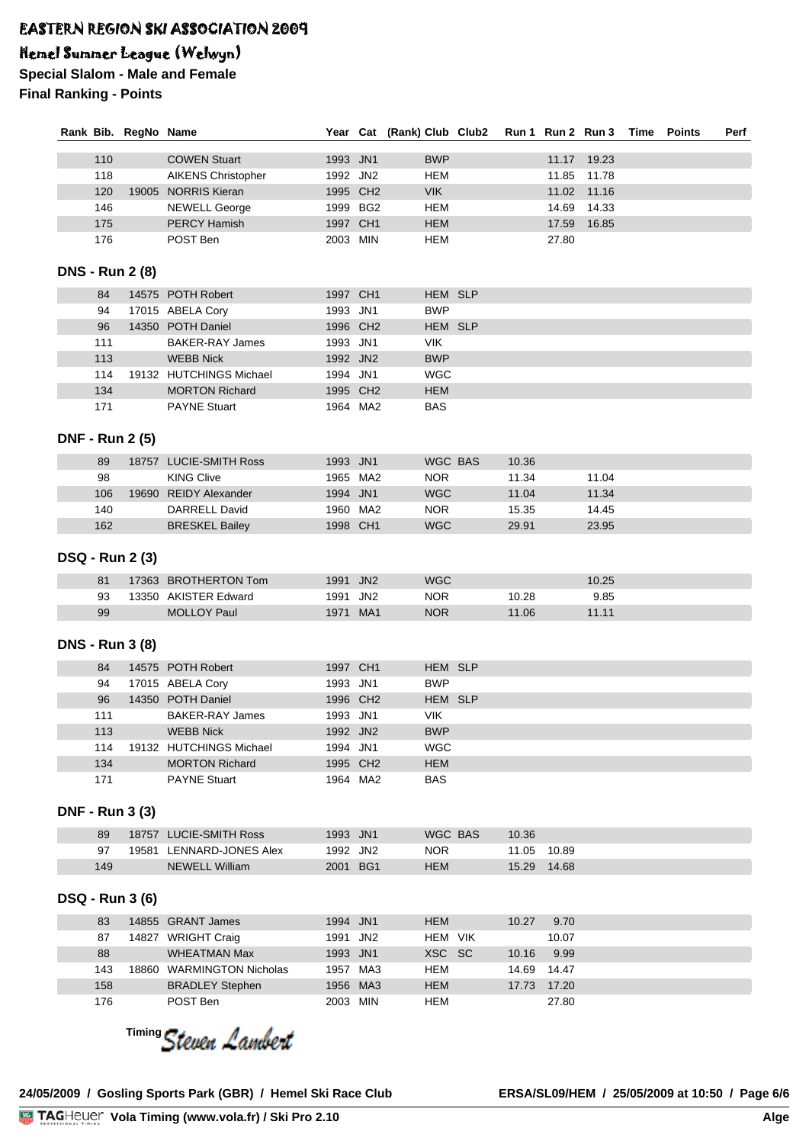# Hemel Summer League (Welwyn)

**Special Slalom - Male and Female Final Ranking - Points**

|     | Rank Bib. RegNo Name   |                           |          |          | Year Cat (Rank) Club Club2 |         |       |       | Run 1 Run 2 Run 3 | Time | <b>Points</b> | Perf |
|-----|------------------------|---------------------------|----------|----------|----------------------------|---------|-------|-------|-------------------|------|---------------|------|
| 110 |                        | <b>COWEN Stuart</b>       | 1993 JN1 |          | <b>BWP</b>                 |         |       |       | 11.17 19.23       |      |               |      |
| 118 |                        | <b>AIKENS Christopher</b> | 1992 JN2 |          | HEM                        |         |       | 11.85 | 11.78             |      |               |      |
| 120 |                        | 19005 NORRIS Kieran       |          | 1995 CH2 | <b>VIK</b>                 |         |       |       | 11.02 11.16       |      |               |      |
| 146 |                        | <b>NEWELL George</b>      |          | 1999 BG2 | <b>HEM</b>                 |         |       | 14.69 | 14.33             |      |               |      |
| 175 |                        | <b>PERCY Hamish</b>       | 1997 CH1 |          | <b>HEM</b>                 |         |       | 17.59 | 16.85             |      |               |      |
| 176 |                        | POST Ben                  | 2003 MIN |          | <b>HEM</b>                 |         |       | 27.80 |                   |      |               |      |
|     |                        |                           |          |          |                            |         |       |       |                   |      |               |      |
|     | <b>DNS - Run 2 (8)</b> |                           |          |          |                            |         |       |       |                   |      |               |      |
| 84  |                        | 14575 POTH Robert         | 1997 CH1 |          |                            | HEM SLP |       |       |                   |      |               |      |
| 94  |                        | 17015 ABELA Cory          | 1993 JN1 |          | <b>BWP</b>                 |         |       |       |                   |      |               |      |
| 96  |                        | 14350 POTH Daniel         |          | 1996 CH2 |                            | HEM SLP |       |       |                   |      |               |      |
| 111 |                        | <b>BAKER-RAY James</b>    | 1993 JN1 |          | VIK.                       |         |       |       |                   |      |               |      |
| 113 |                        | <b>WEBB Nick</b>          | 1992 JN2 |          | <b>BWP</b>                 |         |       |       |                   |      |               |      |
| 114 |                        | 19132 HUTCHINGS Michael   | 1994 JN1 |          | <b>WGC</b>                 |         |       |       |                   |      |               |      |
| 134 |                        | <b>MORTON Richard</b>     |          | 1995 CH2 | <b>HEM</b>                 |         |       |       |                   |      |               |      |
| 171 |                        | <b>PAYNE Stuart</b>       |          | 1964 MA2 | <b>BAS</b>                 |         |       |       |                   |      |               |      |
|     | <b>DNF - Run 2 (5)</b> |                           |          |          |                            |         |       |       |                   |      |               |      |
| 89  |                        | 18757 LUCIE-SMITH Ross    | 1993 JN1 |          |                            | WGC BAS | 10.36 |       |                   |      |               |      |
| 98  |                        | <b>KING Clive</b>         |          | 1965 MA2 | <b>NOR</b>                 |         | 11.34 |       | 11.04             |      |               |      |
| 106 |                        | 19690 REIDY Alexander     | 1994 JN1 |          | <b>WGC</b>                 |         | 11.04 |       | 11.34             |      |               |      |
| 140 |                        | <b>DARRELL David</b>      |          | 1960 MA2 | <b>NOR</b>                 |         | 15.35 |       | 14.45             |      |               |      |
| 162 |                        | <b>BRESKEL Bailey</b>     | 1998 CH1 |          | <b>WGC</b>                 |         | 29.91 |       | 23.95             |      |               |      |
|     |                        |                           |          |          |                            |         |       |       |                   |      |               |      |
|     | <b>DSQ - Run 2 (3)</b> |                           |          |          |                            |         |       |       |                   |      |               |      |
| 81  |                        | 17363 BROTHERTON Tom      | 1991 JN2 |          | <b>WGC</b>                 |         |       |       | 10.25             |      |               |      |
| 93  |                        | 13350 AKISTER Edward      | 1991 JN2 |          | <b>NOR</b>                 |         | 10.28 |       | 9.85              |      |               |      |
| 99  |                        | <b>MOLLOY Paul</b>        | 1971 MA1 |          | <b>NOR</b>                 |         | 11.06 |       | 11.11             |      |               |      |
|     | <b>DNS - Run 3 (8)</b> |                           |          |          |                            |         |       |       |                   |      |               |      |
| 84  |                        | 14575 POTH Robert         | 1997 CH1 |          |                            | HEM SLP |       |       |                   |      |               |      |
| 94  |                        | 17015 ABELA Cory          | 1993 JN1 |          | <b>BWP</b>                 |         |       |       |                   |      |               |      |
| 96  |                        | 14350 POTH Daniel         |          | 1996 CH2 |                            | HEM SLP |       |       |                   |      |               |      |
| 111 |                        | <b>BAKER-RAY James</b>    | 1993 JN1 |          | <b>VIK</b>                 |         |       |       |                   |      |               |      |
| 113 |                        | <b>WEBB Nick</b>          | 1992 JN2 |          | <b>BWP</b>                 |         |       |       |                   |      |               |      |
| 114 |                        | 19132 HUTCHINGS Michael   | 1994 JN1 |          | <b>WGC</b>                 |         |       |       |                   |      |               |      |
| 134 |                        | <b>MORTON Richard</b>     |          | 1995 CH2 | <b>HEM</b>                 |         |       |       |                   |      |               |      |
| 171 |                        | <b>PAYNE Stuart</b>       |          | 1964 MA2 | <b>BAS</b>                 |         |       |       |                   |      |               |      |
|     |                        |                           |          |          |                            |         |       |       |                   |      |               |      |
|     | <b>DNF - Run 3 (3)</b> |                           |          |          |                            |         |       |       |                   |      |               |      |
| 89  |                        | 18757 LUCIE-SMITH Ross    | 1993 JN1 |          |                            | WGC BAS | 10.36 |       |                   |      |               |      |
| 97  |                        | 19581 LENNARD-JONES Alex  | 1992 JN2 |          | <b>NOR</b>                 |         | 11.05 | 10.89 |                   |      |               |      |
| 149 |                        | <b>NEWELL William</b>     | 2001 BG1 |          | <b>HEM</b>                 |         | 15.29 | 14.68 |                   |      |               |      |
|     | <b>DSQ - Run 3 (6)</b> |                           |          |          |                            |         |       |       |                   |      |               |      |
| 83  |                        | 14855 GRANT James         | 1994 JN1 |          | <b>HEM</b>                 |         | 10.27 | 9.70  |                   |      |               |      |
| 87  |                        | 14827 WRIGHT Craig        | 1991 JN2 |          |                            | HEM VIK |       | 10.07 |                   |      |               |      |
| 88  |                        | <b>WHEATMAN Max</b>       | 1993 JN1 |          | XSC SC                     |         | 10.16 | 9.99  |                   |      |               |      |
| 143 |                        | 18860 WARMINGTON Nicholas |          | 1957 MA3 | <b>HEM</b>                 |         | 14.69 | 14.47 |                   |      |               |      |
| 158 |                        | <b>BRADLEY Stephen</b>    |          | 1956 MA3 | <b>HEM</b>                 |         | 17.73 | 17.20 |                   |      |               |      |
| 176 |                        | POST Ben                  | 2003 MIN |          | <b>HEM</b>                 |         |       | 27.80 |                   |      |               |      |

<sup>Timing</sup> Steven Lambert

**24/05/2009 / Gosling Sports Park (GBR) / Hemel Ski Race Club ERSA/SL09/HEM / 25/05/2009 at 10:50 / Page 6/6**

<u>Volanda va Ser</u>